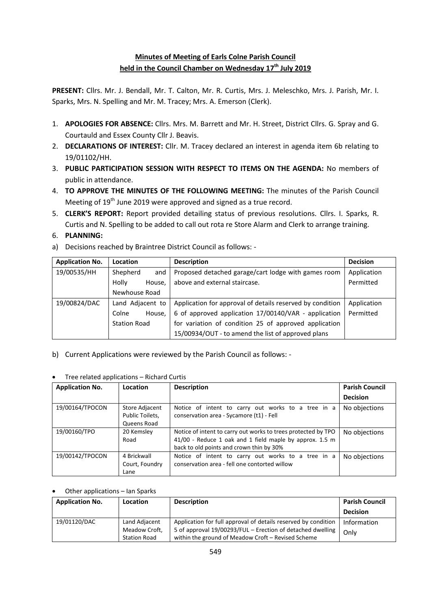## **Minutes of Meeting of Earls Colne Parish Council held in the Council Chamber on Wednesday 17th July 2019**

**PRESENT:** Cllrs. Mr. J. Bendall, Mr. T. Calton, Mr. R. Curtis, Mrs. J. Meleschko, Mrs. J. Parish, Mr. I. Sparks, Mrs. N. Spelling and Mr. M. Tracey; Mrs. A. Emerson (Clerk).

- 1. **APOLOGIES FOR ABSENCE:** Cllrs. Mrs. M. Barrett and Mr. H. Street, District Cllrs. G. Spray and G. Courtauld and Essex County Cllr J. Beavis.
- 2. **DECLARATIONS OF INTEREST:** Cllr. M. Tracey declared an interest in agenda item 6b relating to 19/01102/HH.
- 3. **PUBLIC PARTICIPATION SESSION WITH RESPECT TO ITEMS ON THE AGENDA:** No members of public in attendance.
- 4. **TO APPROVE THE MINUTES OF THE FOLLOWING MEETING:** The minutes of the Parish Council Meeting of 19<sup>th</sup> June 2019 were approved and signed as a true record.
- 5. **CLERK'S REPORT:** Report provided detailing status of previous resolutions. Cllrs. I. Sparks, R. Curtis and N. Spelling to be added to call out rota re Store Alarm and Clerk to arrange training.
- 6. **PLANNING:**
- a) Decisions reached by Braintree District Council as follows: -

| <b>Application No.</b> | Location            | <b>Description</b>                                        | <b>Decision</b> |
|------------------------|---------------------|-----------------------------------------------------------|-----------------|
| 19/00535/HH            | Shepherd<br>and     | Proposed detached garage/cart lodge with games room       | Application     |
|                        | Holly<br>House.     | above and external staircase.                             | Permitted       |
|                        | Newhouse Road       |                                                           |                 |
| 19/00824/DAC           | Land Adjacent to    | Application for approval of details reserved by condition | Application     |
|                        | Colne<br>House,     | 6 of approved application 17/00140/VAR - application      | Permitted       |
|                        | <b>Station Road</b> | for variation of condition 25 of approved application     |                 |
|                        |                     | 15/00934/OUT - to amend the list of approved plans        |                 |

b) Current Applications were reviewed by the Parish Council as follows: -

|  | Tree related applications - Richard Curtis |
|--|--------------------------------------------|
|--|--------------------------------------------|

| <b>Application No.</b> | Location                                         | <b>Description</b>                                                                                                                                                   | <b>Parish Council</b> |
|------------------------|--------------------------------------------------|----------------------------------------------------------------------------------------------------------------------------------------------------------------------|-----------------------|
|                        |                                                  |                                                                                                                                                                      | <b>Decision</b>       |
| 19/00164/TPOCON        | Store Adjacent<br>Public Toilets,<br>Queens Road | Notice of intent to carry out works to a tree in a<br>conservation area - Sycamore (t1) - Fell                                                                       | No objections         |
| 19/00160/TPO           | 20 Kemsley<br>Road                               | Notice of intent to carry out works to trees protected by TPO<br>41/00 - Reduce 1 oak and 1 field maple by approx. 1.5 m<br>back to old points and crown thin by 30% | No objections         |
| 19/00142/TPOCON        | 4 Brickwall<br>Court, Foundry<br>Lane            | Notice of intent to carry out works to a tree in a<br>conservation area - fell one contorted willow                                                                  | No objections         |

## Other applications – Ian Sparks

| <b>Application No.</b> | <b>Location</b>                                       | <b>Description</b>                                                                                                                                                                 | <b>Parish Council</b> |
|------------------------|-------------------------------------------------------|------------------------------------------------------------------------------------------------------------------------------------------------------------------------------------|-----------------------|
|                        |                                                       |                                                                                                                                                                                    | <b>Decision</b>       |
| 19/01120/DAC           | Land Adjacent<br>Meadow Croft,<br><b>Station Road</b> | Application for full approval of details reserved by condition<br>5 of approval 19/00293/FUL - Erection of detached dwelling<br>within the ground of Meadow Croft - Revised Scheme | Information<br>Only   |